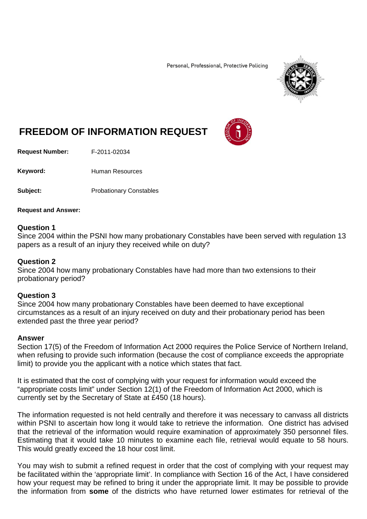Personal, Professional, Protective Policing



# **FREEDOM OF INFORMATION REQUEST**

**Request Number:** F-2011-02034

Keyword: Human Resources

**Subject:** Probationary Constables

**Request and Answer:**

## **Question 1**

Since 2004 within the PSNI how many probationary Constables have been served with regulation 13 papers as a result of an injury they received while on duty?

### **Question 2**

Since 2004 how many probationary Constables have had more than two extensions to their probationary period?

### **Question 3**

Since 2004 how many probationary Constables have been deemed to have exceptional circumstances as a result of an injury received on duty and their probationary period has been extended past the three year period?

#### **Answer**

Section 17(5) of the Freedom of Information Act 2000 requires the Police Service of Northern Ireland, when refusing to provide such information (because the cost of compliance exceeds the appropriate limit) to provide you the applicant with a notice which states that fact.

It is estimated that the cost of complying with your request for information would exceed the "appropriate costs limit" under Section 12(1) of the Freedom of Information Act 2000, which is currently set by the Secretary of State at £450 (18 hours).

The information requested is not held centrally and therefore it was necessary to canvass all districts within PSNI to ascertain how long it would take to retrieve the information. One district has advised that the retrieval of the information would require examination of approximately 350 personnel files. Estimating that it would take 10 minutes to examine each file, retrieval would equate to 58 hours. This would greatly exceed the 18 hour cost limit.

You may wish to submit a refined request in order that the cost of complying with your request may be facilitated within the 'appropriate limit'. In compliance with Section 16 of the Act, I have considered how your request may be refined to bring it under the appropriate limit. It may be possible to provide the information from **some** of the districts who have returned lower estimates for retrieval of the